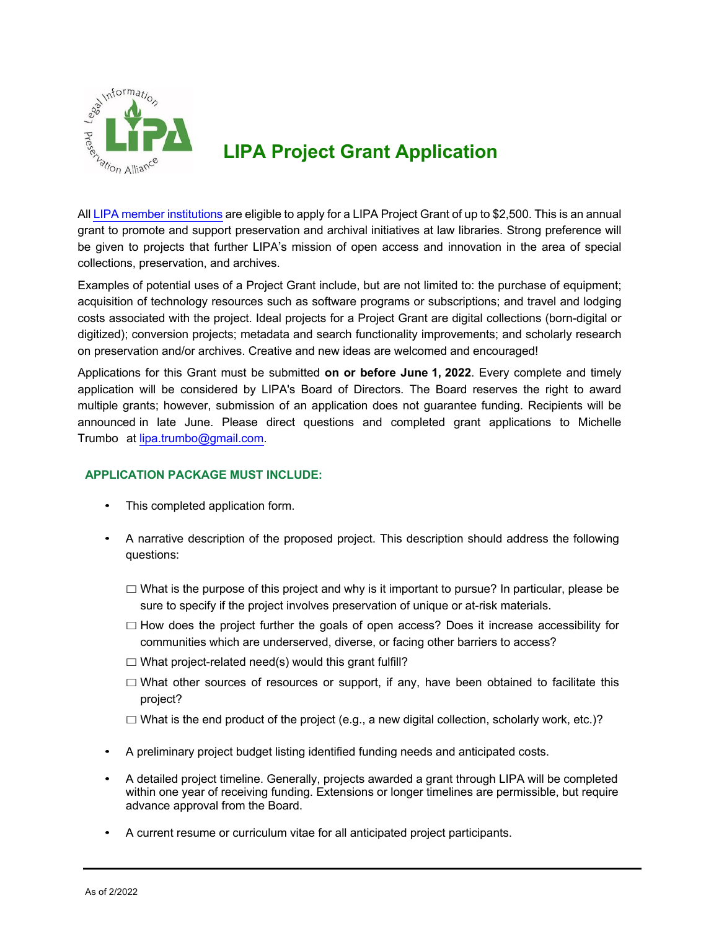

## **LIPA Project Grant Application**

All LIPA member institutions are eligible to apply for a LIPA Project Grant of up to \$2,500. This is an annual grant to promote and support preservation and archival initiatives at law libraries. Strong preference will be given to projects that further LIPA's mission of open access and innovation in the area of special collections, preservation, and archives.

Examples of potential uses of a Project Grant include, but are not limited to: the purchase of equipment; acquisition of technology resources such as software programs or subscriptions; and travel and lodging costs associated with the project. Ideal projects for a Project Grant are digital collections (born-digital or digitized); conversion projects; metadata and search functionality improvements; and scholarly research on preservation and/or archives. Creative and new ideas are welcomed and encouraged!

Applications for this Grant must be submitted **on or before June 1, 2022**. Every complete and timely application will be considered by LIPA's Board of Directors. The Board reserves the right to award multiple grants; however, submission of an application does not guarantee funding. Recipients will be announced in late June. Please direct questions and completed grant applications to Michelle Trumbo at lipa.trumbo@gmail.com.

## **APPLICATION PACKAGE MUST INCLUDE:**

- This completed application form.
- A narrative description of the proposed project. This description should address the following questions:
	- $\Box$  What is the purpose of this project and why is it important to pursue? In particular, please be sure to specify if the project involves preservation of unique or at-risk materials.
	- $\Box$  How does the project further the goals of open access? Does it increase accessibility for communities which are underserved, diverse, or facing other barriers to access?
	- $\Box$  What project-related need(s) would this grant fulfill?
	- $\Box$  What other sources of resources or support, if any, have been obtained to facilitate this project?
	- $\Box$  What is the end product of the project (e.g., a new digital collection, scholarly work, etc.)?
- A preliminary project budget listing identified funding needs and anticipated costs.
- A detailed project timeline. Generally, projects awarded a grant through LIPA will be completed within one year of receiving funding. Extensions or longer timelines are permissible, but require advance approval from the Board.
- A current resume or curriculum vitae for all anticipated project participants.